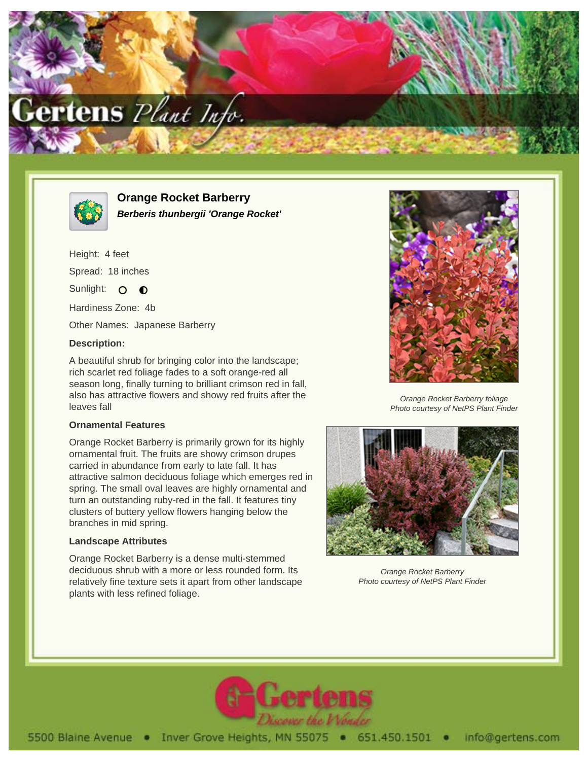



**Orange Rocket Barberry Berberis thunbergii 'Orange Rocket'**

Height: 4 feet Spread: 18 inches Sunlight: O  $\bullet$ Hardiness Zone: 4b

Other Names: Japanese Barberry

### **Description:**

A beautiful shrub for bringing color into the landscape; rich scarlet red foliage fades to a soft orange-red all season long, finally turning to brilliant crimson red in fall, also has attractive flowers and showy red fruits after the leaves fall

#### **Ornamental Features**

Orange Rocket Barberry is primarily grown for its highly ornamental fruit. The fruits are showy crimson drupes carried in abundance from early to late fall. It has attractive salmon deciduous foliage which emerges red in spring. The small oval leaves are highly ornamental and turn an outstanding ruby-red in the fall. It features tiny clusters of buttery yellow flowers hanging below the branches in mid spring.

#### **Landscape Attributes**

Orange Rocket Barberry is a dense multi-stemmed deciduous shrub with a more or less rounded form. Its relatively fine texture sets it apart from other landscape plants with less refined foliage.



Orange Rocket Barberry foliage Photo courtesy of NetPS Plant Finder



Orange Rocket Barberry Photo courtesy of NetPS Plant Finder